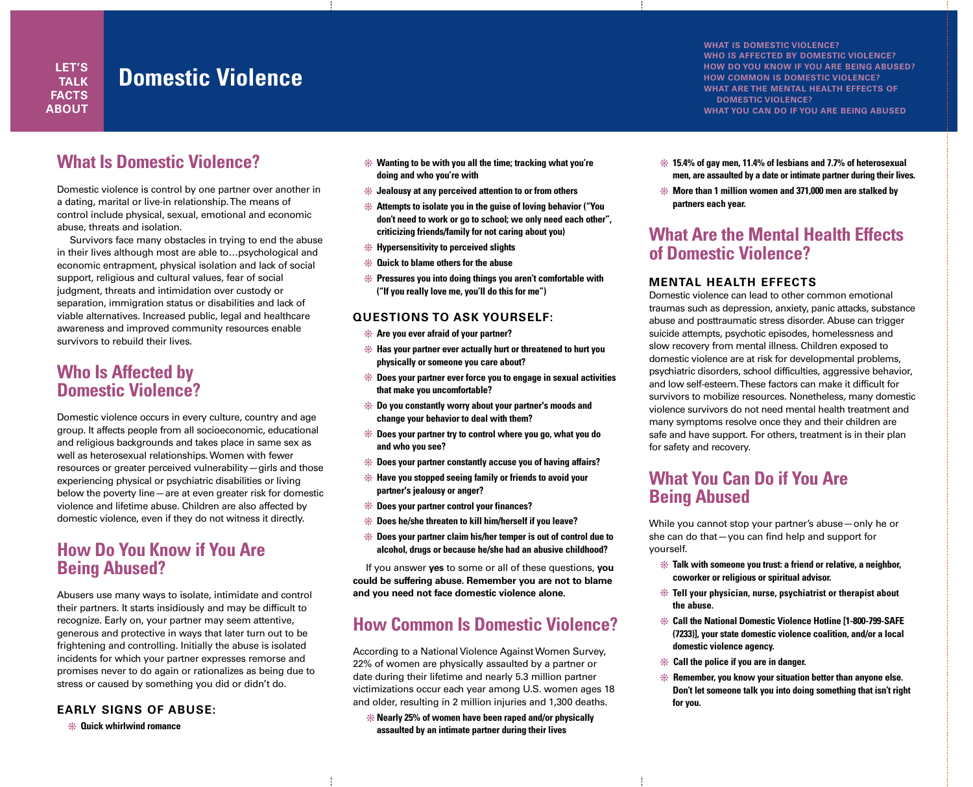**LET'S TALK FACTS ABOUT**

## **Domestic Violence**

**What Is Domestic Violence?**

Domestic violence is control by one partner over another in a dating, marital or live-in relationship. The means of control include physical, sexual, emotional and economic abuse, threats and isolation.

Survivors face many obstacles in trying to end the abuse in their lives although most are able to…psychological and economic entrapment, physical isolation and lack of social support, religious and cultural values, fear of social judgment, threats and intimidation over custody or separation, immigration status or disabilities and lack of viable alternatives. Increased public, legal and healthcare awareness and improved community resources enable survivors to rebuild their lives.

#### **Who Is Affected by Domestic Violence?**

Domestic violence occurs in every culture, country and age group. It affects people from all socioeconomic, educational and religious backgrounds and takes place in same sex as well as heterosexual relationships. Women with fewer resources or greater perceived vulnerability—girls and those experiencing physical or psychiatric disabilities or living below the poverty line—are at even greater risk for domestic violence and lifetime abuse. Children are also affected by domestic violence, even if they do not witness it directly.

### **How Do You Know if You Are Being Abused?**

Abusers use many ways to isolate, intimidate and control their partners. It starts insidiously and may be difficult to recognize. Early on, your partner may seem attentive, generous and protective in ways that later turn out to be frightening and controlling. Initially the abuse is isolated incidents for which your partner expresses remorse and promises never to do again or rationalizes as being due to stress or caused by something you did or didn't do.

#### **EARLY SIGNS OF ABUSE:**

v **Quick whirlwind romance** 

- **\*** Wanting to be with you all the time; tracking what you're **doing and who you're with**
- v **Jealousy at any perceived attention to or from others**
- $*$  **Attempts to isolate you in the quise of loving behavior ("You don't need to work or go to school; we only need each other", criticizing friends/family for not caring about you)**
- v **Hypersensitivity to perceived slights**
- v **Quick to blame others for the abuse**
- v **Pressures you into doing things you aren't comfortable with ("If you really love me, you'll do this for me")**

#### **QUESTIONS TO ASK YOURSELF:**

- $*$  **Are you ever afraid of your partner?**
- $*$  **Has your partner ever actually hurt or threatened to hurt you physically or someone you care about?**
- $*$  **Does your partner ever force you to engage in sexual activities that make you uncomfortable?**
- v **Do you constantly worry about your partner's moods and change your behavior to deal with them?**
- $*$  Does your partner try to control where you go, what you do **and who you see?**
- $*$  **Does your partner constantly accuse you of having affairs?**
- v **Have you stopped seeing family or friends to avoid your partner's jealousy or anger?**
- v **Does your partner control your finances?**
- $*$  **Does he/she threaten to kill him/herself if you leave?**
- v **Does your partner claim his/her temper is out of control due to alcohol, drugs or because he/she had an abusive childhood?**

If you answer **yes** to some or all of these questions, **you could be suffering abuse. Remember you are not to blame and you need not face domestic violence alone.**

## **How Common Is Domestic Violence?**

According to a National Violence Against Women Survey, 22% of women are physically assaulted by a partner or date during their lifetime and nearly 5.3 million partner victimizations occur each year among U.S. women ages 18 and older, resulting in 2 million injuries and 1,300 deaths.

v**Nearly 25% of women have been raped and/or physically assaulted by an intimate partner during their lives** 

**WHAT IS DOMESTIC VIOLENCE? WHO IS AFFECTED BY DOMESTIC VIOLENCE? HOW DO YOU KNOW IF YOU ARE BEING ABUSED? HOW COMMON IS DOMESTIC VIOLENCE? WHAT ARE THE MENTAL HEALTH EFFECTS OF DOMESTIC VIOLENCE? WHAT YOU CAN DO IF YOU ARE BEING ABUSED**

- $*$  15.4% of gay men, 11.4% of lesbians and 7.7% of heterosexual **men, are assaulted by a date or intimate partner during their lives.**
- v **More than 1 million women and 371,000 men are stalked by partners each year.**

### **What Are the Mental Health Effects of Domestic Violence?**

#### **MENTAL HEALTH EFFECTS**

Domestic violence can lead to other common emotional traumas such as depression, anxiety, panic attacks, substance abuse and posttraumatic stress disorder. Abuse can trigger suicide attempts, psychotic episodes, homelessness and slow recovery from mental illness. Children exposed to domestic violence are at risk for developmental problems, psychiatric disorders, school difficulties, aggressive behavior, and low self-esteem. These factors can make it difficult for survivors to mobilize resources. Nonetheless, many domestic violence survivors do not need mental health treatment and many symptoms resolve once they and their children are safe and have support. For others, treatment is in their plan for safety and recovery.

## **What You Can Do if You Are Being Abused**

While you cannot stop your partner's abuse—only he or she can do that—you can find help and support for yourself.

- v **Talk with someone you trust: a friend or relative, a neighbor, coworker or religious or spiritual advisor.**
- $*$  **Tell your physician, nurse, psychiatrist or therapist about the abuse.**
- $*$  **Call the National Domestic Violence Hotline [1-800-799-SAFE (7233)], your state domestic violence coalition, and/or a local domestic violence agency.**
- $*$  **Call the police if you are in danger.**
- $*$  **Remember, you know your situation better than anyone else. Don't let someone talk you into doing something that isn't right for you.**